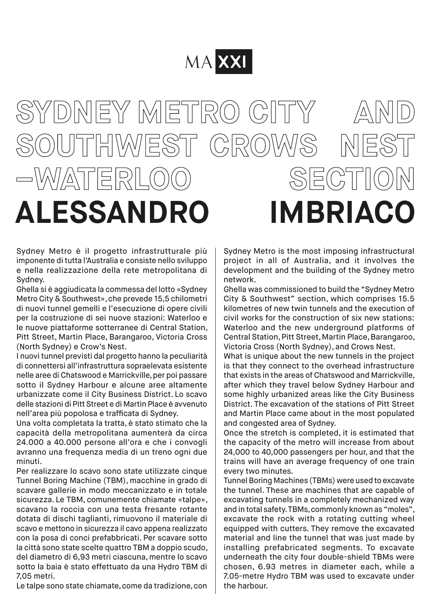## MA XXI

## SYDNEY METRO CITY A **SOUTHWEST CROWS NEST –WATERLOO SECTION ALESSANDRO IMBRIACO**

Sydney Metro è il progetto infrastrutturale più imponente di tutta l'Australia e consiste nello sviluppo e nella realizzazione della rete metropolitana di Sydney.

Ghella si è aggiudicata la commessa del lotto «Sydney Metro City & Southwest», che prevede 15,5 chilometri di nuovi tunnel gemelli e l'esecuzione di opere civili per la costruzione di sei nuove stazioni: Waterloo e le nuove piattaforme sotterranee di Central Station, Pitt Street, Martin Place, Barangaroo, Victoria Cross (North Sydney) e Crow's Nest.

I nuovi tunnel previsti dal progetto hanno la peculiarità di connettersi all'infrastruttura sopraelevata esistente nelle aree di Chatswood e Marrickville, per poi passare sotto il Sydney Harbour e alcune aree altamente urbanizzate come il City Business District. Lo scavo delle stazioni di Pitt Street e di Martin Place è avvenuto nell'area più popolosa e trafficata di Sydney.

Una volta completata la tratta, è stato stimato che la capacità della metropolitana aumenterà da circa 24.000 a 40.000 persone all'ora e che i convogli avranno una frequenza media di un treno ogni due minuti.

Per realizzare lo scavo sono state utilizzate cinque Tunnel Boring Machine (TBM), macchine in grado di scavare gallerie in modo meccanizzato e in totale sicurezza. Le TBM, comunemente chiamate «talpe», scavano la roccia con una testa fresante rotante dotata di dischi taglianti, rimuovono il materiale di scavo e mettono in sicurezza il cavo appena realizzato con la posa di conci prefabbricati. Per scavare sotto la città sono state scelte quattro TBM a doppio scudo, del diametro di 6,93 metri ciascuna, mentre lo scavo sotto la baia è stato effettuato da una Hydro TBM di 7,05 metri.

Le talpe sono state chiamate, come da tradizione, con

Sydney Metro is the most imposing infrastructural project in all of Australia, and it involves the development and the building of the Sydney metro network.

Ghella was commissioned to build the "Sydney Metro City & Southwest" section, which comprises 15.5 kilometres of new twin tunnels and the execution of civil works for the construction of six new stations: Waterloo and the new underground platforms of Central Station, Pitt Street, Martin Place, Barangaroo, Victoria Cross (North Sydney), and Crows Nest.

What is unique about the new tunnels in the project is that they connect to the overhead infrastructure that exists in the areas of Chatswood and Marrickville, after which they travel below Sydney Harbour and some highly urbanized areas like the City Business District. The excavation of the stations of Pitt Street and Martin Place came about in the most populated and congested area of Sydney.

Once the stretch is completed, it is estimated that the capacity of the metro will increase from about 24,000 to 40,000 passengers per hour, and that the trains will have an average frequency of one train every two minutes.

Tunnel Boring Machines (TBMs) were used to excavate the tunnel. These are machines that are capable of excavating tunnels in a completely mechanized way and in total safety. TBMs, commonly known as "moles", excavate the rock with a rotating cutting wheel equipped with cutters. They remove the excavated material and line the tunnel that was just made by installing prefabricated segments. To excavate underneath the city four double-shield TBMs were chosen, 6.93 metres in diameter each, while a 7.05-metre Hydro TBM was used to excavate under the harbour.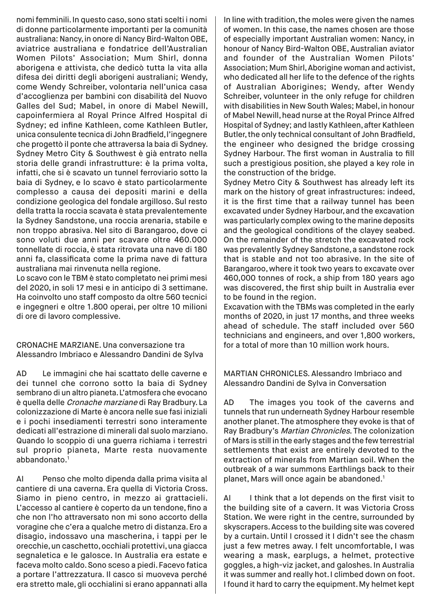nomi femminili. In questo caso, sono stati scelti i nomi di donne particolarmente importanti per la comunità australiana: Nancy, in onore di Nancy Bird-Walton OBE, aviatrice australiana e fondatrice dell'Australian Women Pilots' Association; Mum Shirl, donna aborigena e attivista, che dedicò tutta la vita alla difesa dei diritti degli aborigeni australiani; Wendy, come Wendy Schreiber, volontaria nell'unica casa d'accoglienza per bambini con disabilità del Nuovo Galles del Sud; Mabel, in onore di Mabel Newill, capoinfermiera al Royal Prince Alfred Hospital di Sydney; ed infine Kathleen, come Kathleen Butler, unica consulente tecnica di John Bradfield, l'ingegnere che progettò il ponte che attraversa la baia di Sydney. Sydney Metro City & Southwest è già entrato nella storia delle grandi infrastrutture: è la prima volta, infatti, che si è scavato un tunnel ferroviario sotto la baia di Sydney, e lo scavo è stato particolarmente complesso a causa dei depositi marini e della condizione geologica del fondale argilloso. Sul resto della tratta la roccia scavata è stata prevalentemente la Sydney Sandstone, una roccia arenaria, stabile e non troppo abrasiva. Nel sito di Barangaroo, dove ci sono voluti due anni per scavare oltre 460.000 tonnellate di roccia, è stata ritrovata una nave di 180 anni fa, classificata come la prima nave di fattura australiana mai rinvenuta nella regione.

Lo scavo con le TBM è stato completato nei primi mesi del 2020, in soli 17 mesi e in anticipo di 3 settimane. Ha coinvolto uno staff composto da oltre 560 tecnici e ingegneri e oltre 1.800 operai, per oltre 10 milioni di ore di lavoro complessive.

CRONACHE MARZIANE. Una conversazione tra Alessandro Imbriaco e Alessandro Dandini de Sylva

AD Le immagini che hai scattato delle caverne e dei tunnel che corrono sotto la baia di Sydney sembrano di un altro pianeta. L'atmosfera che evocano è quella delle Cronache marziane di Ray Bradbury. La colonizzazione di Marte è ancora nelle sue fasi iniziali e i pochi insediamenti terrestri sono interamente dedicati all'estrazione di minerali dal suolo marziano. Quando lo scoppio di una guerra richiama i terrestri sul proprio pianeta, Marte resta nuovamente abbandonato.<sup>1</sup>

AI Penso che molto dipenda dalla prima visita al cantiere di una caverna. Era quella di Victoria Cross. Siamo in pieno centro, in mezzo ai grattacieli. L'accesso al cantiere è coperto da un tendone, fino a che non l'ho attraversato non mi sono accorto della voragine che c'era a qualche metro di distanza. Ero a disagio, indossavo una mascherina, i tappi per le orecchie, un caschetto, occhiali protettivi, una giacca segnaletica e le galosce. In Australia era estate e faceva molto caldo. Sono sceso a piedi. Facevo fatica a portare l'attrezzatura. Il casco si muoveva perché era stretto male, gli occhialini si erano appannati alla

In line with tradition, the moles were given the names of women. In this case, the names chosen are those of especially important Australian women: Nancy, in honour of Nancy Bird-Walton OBE, Australian aviator and founder of the Australian Women Pilots' Association; Mum Shirl, Aborigine woman and activist, who dedicated all her life to the defence of the rights of Australian Aborigines; Wendy, after Wendy Schreiber, volunteer in the only refuge for children with disabilities in New South Wales; Mabel, in honour of Mabel Newill, head nurse at the Royal Prince Alfred Hospital of Sydney; and lastly Kathleen, after Kathleen Butler, the only technical consultant of John Bradfield, the engineer who designed the bridge crossing Sydney Harbour. The first woman in Australia to fill such a prestigious position, she played a key role in the construction of the bridge.

Sydney Metro City & Southwest has already left its mark on the history of great infrastructures: indeed, it is the first time that a railway tunnel has been excavated under Sydney Harbour, and the excavation was particularly complex owing to the marine deposits and the geological conditions of the clayey seabed. On the remainder of the stretch the excavated rock was prevalently Sydney Sandstone, a sandstone rock that is stable and not too abrasive. In the site of Barangaroo, where it took two years to excavate over 460,000 tonnes of rock, a ship from 180 years ago was discovered, the first ship built in Australia ever to be found in the region.

Excavation with the TBMs was completed in the early months of 2020, in just 17 months, and three weeks ahead of schedule. The staff included over 560 technicians and engineers, and over 1,800 workers, for a total of more than 10 million work hours.

MARTIAN CHRONICLES. Alessandro Imbriaco and Alessandro Dandini de Sylva in Conversation

AD The images you took of the caverns and tunnels that run underneath Sydney Harbour resemble another planet. The atmosphere they evoke is that of Ray Bradbury's Martian Chronicles. The colonization of Mars is still in the early stages and the few terrestrial settlements that exist are entirely devoted to the extraction of minerals from Martian soil. When the outbreak of a war summons Earthlings back to their planet, Mars will once again be abandoned.<sup>1</sup>

AI I think that a lot depends on the first visit to the building site of a cavern. It was Victoria Cross Station. We were right in the centre, surrounded by skyscrapers. Access to the building site was covered by a curtain. Until I crossed it I didn't see the chasm just a few metres away. I felt uncomfortable, I was wearing a mask, earplugs, a helmet, protective goggles, a high-viz jacket, and galoshes. In Australia it was summer and really hot. I climbed down on foot. I found it hard to carry the equipment. My helmet kept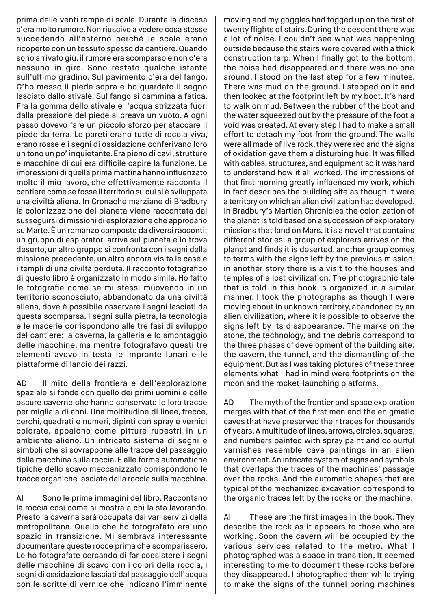prima delle venti rampe di scale. Durante la discesa c'era molto rumore. Non riuscivo a vedere cosa stesse succedendo all'esterno perché le scale erano ricoperte con un tessuto spesso da cantiere. Quando sono arrivato giù, il rumore era scomparso e non c'era nessuno in giro. Sono restato qualche istante sull'ultimo gradino. Sul pavimento c'era del fango. C'ho messo il piede sopra e ho guardato il segno lasciato dallo stivale. Sul fango si cammina a fatica. Fra la gomma dello stivale e l'acqua strizzata fuori dalla pressione del piede si creava un vuoto. A ogni passo dovevo fare un piccolo sforzo per staccare il piede da terra. Le pareti erano tutte di roccia viva, erano rosse e i segni di ossidazione conferivano loro un tono un po' inquietante. Era pieno di cavi, strutture e macchine di cui era difficile capire la funzione. Le impressioni di quella prima mattina hanno influenzato molto il mio lavoro, che effettivamente racconta il cantiere come se fosse il territorio su cui si è sviluppata una civiltà aliena. In Cronache marziane di Bradbury la colonizzazione del pianeta viene raccontata dal susseguirsi di missioni di esplorazione che approdano su Marte. È un romanzo composto da diversi racconti: un gruppo di esploratori arriva sul pianeta e lo trova deserto, un altro gruppo si confronta con i segni della missione precedente, un altro ancora visita le case e i templi di una civiltà perduta. Il racconto fotografico di questo libro è organizzato in modo simile. Ho fatto le fotografie come se mi stessi muovendo in un territorio sconosciuto, abbandonato da una civiltà aliena, dove è possibile osservare i segni lasciati da questa scomparsa. I segni sulla pietra, la tecnologia e le macerie corrispondono alle tre fasi di sviluppo del cantiere: la caverna, la galleria e lo smontaggio delle macchine, ma mentre fotografavo questi tre elementi avevo in testa le impronte lunari e le piattaforme di lancio dei razzi.

AD Il mito della frontiera e dell'esplorazione spaziale si fonde con quello dei primi uomini e delle oscure caverne che hanno conservato le loro tracce per migliaia di anni. Una moltitudine di linee, frecce, cerchi, quadrati e numeri, dipinti con spray e vernici colorate, appaiono come pitture rupestri in un ambiente alieno. Un intricato sistema di segni e simboli che si sovrappone alle tracce del passaggio della macchina sulla roccia. E alle forme automatiche tipiche dello scavo meccanizzato corrispondono le tracce organiche lasciate dalla roccia sulla macchina.

AI Sono le prime immagini del libro. Raccontano la roccia così come si mostra a chi la sta lavorando. Presto la caverna sarà occupata dai vari servizi della metropolitana. Quello che ho fotografato era uno spazio in transizione. Mi sembrava interessante documentare queste rocce prima che scomparissero. Le ho fotografate cercando di far coesistere i segni delle macchine di scavo con i colori della roccia, i segni di ossidazione lasciati dal passaggio dell'acqua con le scritte di vernice che indicano l'imminente

moving and my goggles had fogged up on the first of twenty flights of stairs. During the descent there was a lot of noise. I couldn't see what was happening outside because the stairs were covered with a thick construction tarp. When I finally got to the bottom, the noise had disappeared and there was no one around. I stood on the last step for a few minutes. There was mud on the ground. I stepped on it and then looked at the footprint left by my boot. It's hard to walk on mud. Between the rubber of the boot and the water squeezed out by the pressure of the foot a void was created. At every step I had to make a small effort to detach my foot from the ground. The walls were all made of live rock, they were red and the signs of oxidation gave them a disturbing hue. It was filled with cables, structures, and equipment so it was hard to understand how it all worked. The impressions of that first morning greatly influenced my work, which in fact describes the building site as though it were a territory on which an alien civilization had developed. In Bradbury's Martian Chronicles the colonization of the planet is told based on a succession of exploratory missions that land on Mars. It is a novel that contains different stories: a group of explorers arrives on the planet and finds it is deserted, another group comes to terms with the signs left by the previous mission, in another story there is a visit to the houses and temples of a lost civilization. The photographic tale that is told in this book is organized in a similar manner. I took the photographs as though I were moving about in unknown territory, abandoned by an alien civilization, where it is possible to observe the signs left by its disappearance. The marks on the stone, the technology, and the debris correspond to the three phases of development of the building site: the cavern, the tunnel, and the dismantling of the equipment. But as I was taking pictures of these three elements what I had in mind were footprints on the moon and the rocket-launching platforms.

AD The myth of the frontier and space exploration merges with that of the first men and the enigmatic caves that have preserved their traces for thousands of years. A multitude of lines, arrows, circles, squares, and numbers painted with spray paint and colourful varnishes resemble cave paintings in an alien environment. An intricate system of signs and symbols that overlaps the traces of the machines' passage over the rocks. And the automatic shapes that are typical of the mechanized excavation correspond to the organic traces left by the rocks on the machine.

AI These are the first images in the book. They describe the rock as it appears to those who are working. Soon the cavern will be occupied by the various services related to the metro. What I photographed was a space in transition. It seemed interesting to me to document these rocks before they disappeared. I photographed them while trying to make the signs of the tunnel boring machines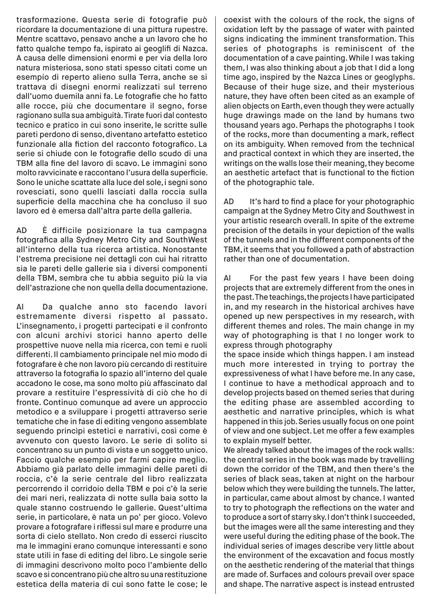trasformazione. Questa serie di fotografie può ricordare la documentazione di una pittura rupestre. Mentre scattavo, pensavo anche a un lavoro che ho fatto qualche tempo fa, ispirato ai geoglifi di Nazca. A causa delle dimensioni enormi e per via della loro natura misteriosa, sono stati spesso citati come un esempio di reperto alieno sulla Terra, anche se si trattava di disegni enormi realizzati sul terreno dall'uomo duemila anni fa. Le fotografie che ho fatto alle rocce, più che documentare il segno, forse ragionano sulla sua ambiguità. Tirate fuori dal contesto tecnico e pratico in cui sono inserite, le scritte sulle pareti perdono di senso, diventano artefatto estetico funzionale alla fiction del racconto fotografico. La serie si chiude con le fotografie dello scudo di una TBM alla fine del lavoro di scavo. Le immagini sono molto ravvicinate e raccontano l'usura della superficie. Sono le uniche scattate alla luce del sole, i segni sono rovesciati, sono quelli lasciati dalla roccia sulla superficie della macchina che ha concluso il suo lavoro ed è emersa dall'altra parte della galleria.

AD È difficile posizionare la tua campagna fotografica alla Sydney Metro City and SouthWest all'interno della tua ricerca artistica. Nonostante l'estrema precisione nei dettagli con cui hai ritratto sia le pareti delle gallerie sia i diversi componenti della TBM, sembra che tu abbia seguito più la via dell'astrazione che non quella della documentazione.

AI Da qualche anno sto facendo lavori estremamente diversi rispetto al passato. L'insegnamento, i progetti partecipati e il confronto con alcuni archivi storici hanno aperto delle prospettive nuove nella mia ricerca, con temi e ruoli differenti. Il cambiamento principale nel mio modo di fotografare è che non lavoro più cercando di restituire attraverso la fotografia lo spazio all'interno del quale accadono le cose, ma sono molto più affascinato dal provare a restituire l'espressività di ciò che ho di fronte. Continuo comunque ad avere un approccio metodico e a sviluppare i progetti attraverso serie tematiche che in fase di editing vengono assemblate seguendo princìpi estetici e narrativi, così come è avvenuto con questo lavoro. Le serie di solito si concentrano su un punto di vista e un soggetto unico. Faccio qualche esempio per farmi capire meglio. Abbiamo già parlato delle immagini delle pareti di roccia, c'è la serie centrale del libro realizzata percorrendo il corridoio della TBM e poi c'è la serie dei mari neri, realizzata di notte sulla baia sotto la quale stanno costruendo le gallerie. Quest'ultima serie, in particolare, è nata un po' per gioco. Volevo provare a fotografare i riflessi sul mare e produrre una sorta di cielo stellato. Non credo di esserci riuscito ma le immagini erano comunque interessanti e sono state utili in fase di editing del libro. Le singole serie di immagini descrivono molto poco l'ambiente dello scavo e si concentrano più che altro su una restituzione estetica della materia di cui sono fatte le cose; le

coexist with the colours of the rock, the signs of oxidation left by the passage of water with painted signs indicating the imminent transformation. This series of photographs is reminiscent of the documentation of a cave painting. While I was taking them, I was also thinking about a job that I did a long time ago, inspired by the Nazca Lines or geoglyphs. Because of their huge size, and their mysterious nature, they have often been cited as an example of alien objects on Earth, even though they were actually huge drawings made on the land by humans two thousand years ago. Perhaps the photographs I took of the rocks, more than documenting a mark, reflect on its ambiguity. When removed from the technical and practical context in which they are inserted, the writings on the walls lose their meaning, they become an aesthetic artefact that is functional to the fiction of the photographic tale.

AD It's hard to find a place for your photographic campaign at the Sydney Metro City and Southwest in your artistic research overall. In spite of the extreme precision of the details in your depiction of the walls of the tunnels and in the different components of the TBM, it seems that you followed a path of abstraction rather than one of documentation.

AI For the past few years I have been doing projects that are extremely different from the ones in the past. The teachings, the projects I have participated in, and my research in the historical archives have opened up new perspectives in my research, with different themes and roles. The main change in my way of photographing is that I no longer work to express through photography

the space inside which things happen. I am instead much more interested in trying to portray the expressiveness of what I have before me. In any case, I continue to have a methodical approach and to develop projects based on themed series that during the editing phase are assembled according to aesthetic and narrative principles, which is what happened in this job. Series usually focus on one point of view and one subject. Let me offer a few examples to explain myself better.

We already talked about the images of the rock walls: the central series in the book was made by travelling down the corridor of the TBM, and then there's the series of black seas, taken at night on the harbour below which they were building the tunnels. The latter, in particular, came about almost by chance. I wanted to try to photograph the reflections on the water and to produce a sort of starry sky. I don't think I succeeded, but the images were all the same interesting and they were useful during the editing phase of the book. The individual series of images describe very little about the environment of the excavation and focus mostly on the aesthetic rendering of the material that things are made of. Surfaces and colours prevail over space and shape. The narrative aspect is instead entrusted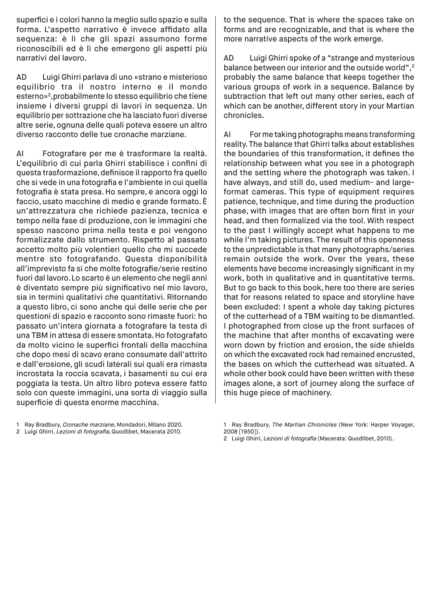superfici e i colori hanno la meglio sullo spazio e sulla forma. L'aspetto narrativo è invece affidato alla sequenza: è lì che gli spazi assumono forme riconoscibili ed è lì che emergono gli aspetti più narrativi del lavoro.

AD Luigi Ghirri parlava di uno «strano e misterioso equilibrio tra il nostro interno e il mondo esterno»2,probabilmente lo stesso equilibrio che tiene insieme i diversi gruppi di lavori in sequenza. Un equilibrio per sottrazione che ha lasciato fuori diverse altre serie, ognuna delle quali poteva essere un altro diverso racconto delle tue cronache marziane.

AI Fotografare per me è trasformare la realtà. L'equilibrio di cui parla Ghirri stabilisce i confini di questa trasformazione, definisce il rapporto fra quello che si vede in una fotografia e l'ambiente in cui quella fotografia è stata presa. Ho sempre, e ancora oggi lo faccio, usato macchine di medio e grande formato. È un'attrezzatura che richiede pazienza, tecnica e tempo nella fase di produzione, con le immagini che spesso nascono prima nella testa e poi vengono formalizzate dallo strumento. Rispetto al passato accetto molto più volentieri quello che mi succede mentre sto fotografando. Questa disponibilità all'imprevisto fa sì che molte fotografie/serie restino fuori dal lavoro. Lo scarto è un elemento che negli anni è diventato sempre più significativo nel mio lavoro, sia in termini qualitativi che quantitativi. Ritornando a questo libro, ci sono anche qui delle serie che per questioni di spazio e racconto sono rimaste fuori: ho passato un'intera giornata a fotografare la testa di una TBM in attesa di essere smontata. Ho fotografato da molto vicino le superfici frontali della macchina che dopo mesi di scavo erano consumate dall'attrito e dall'erosione, gli scudi laterali sui quali era rimasta incrostata la roccia scavata, i basamenti su cui era poggiata la testa. Un altro libro poteva essere fatto solo con queste immagini, una sorta di viaggio sulla superficie di questa enorme macchina.

to the sequence. That is where the spaces take on forms and are recognizable, and that is where the more narrative aspects of the work emerge.

AD Luigi Ghirri spoke of a "strange and mysterious balance between our interior and the outside world",<sup>2</sup> probably the same balance that keeps together the various groups of work in a sequence. Balance by subtraction that left out many other series, each of which can be another, different story in your Martian chronicles.

AI For me taking photographs means transforming reality. The balance that Ghirri talks about establishes the boundaries of this transformation, it defines the relationship between what you see in a photograph and the setting where the photograph was taken. I have always, and still do, used medium- and largeformat cameras. This type of equipment requires patience, technique, and time during the production phase, with images that are often born first in your head, and then formalized via the tool. With respect to the past I willingly accept what happens to me while I'm taking pictures. The result of this openness to the unpredictable is that many photographs/series remain outside the work. Over the years, these elements have become increasingly significant in my work, both in qualitative and in quantitative terms. But to go back to this book, here too there are series that for reasons related to space and storyline have been excluded: I spent a whole day taking pictures of the cutterhead of a TBM waiting to be dismantled. I photographed from close up the front surfaces of the machine that after months of excavating were worn down by friction and erosion, the side shields on which the excavated rock had remained encrusted, the bases on which the cutterhead was situated. A whole other book could have been written with these images alone, a sort of journey along the surface of this huge piece of machinery.

2 Luigi Ghirri, Lezioni di fotografia, Quodlibet, Macerata 2010.

2 Luigi Ghirri, Lezioni di fotografia (Macerata: Quodlibet, 2010).

<sup>1</sup> Ray Bradbury, Cronache marziane, Mondadori, Milano 2020.

<sup>1</sup> Ray Bradbury, The Martian Chronicles (New York: Harper Voyager, 2008 [1950]).